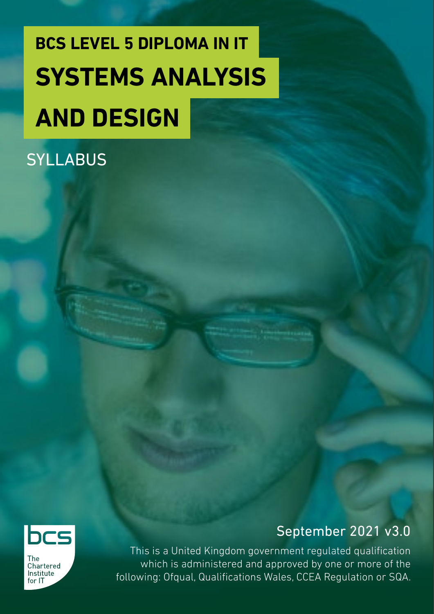# **BCS LEVEL 5 DIPLOMA IN IT SYSTEMS ANALYSIS**

# **AND DESIGN**

### **SYLLABUS**



**The** Chartered Institute  $for 1T$ 

### September 2021 v3.0

This is a United Kingdom government regulated qualification which is administered and approved by one or more of the following: Ofqual, Qualifications Wales, CCEA Regulation or SQA.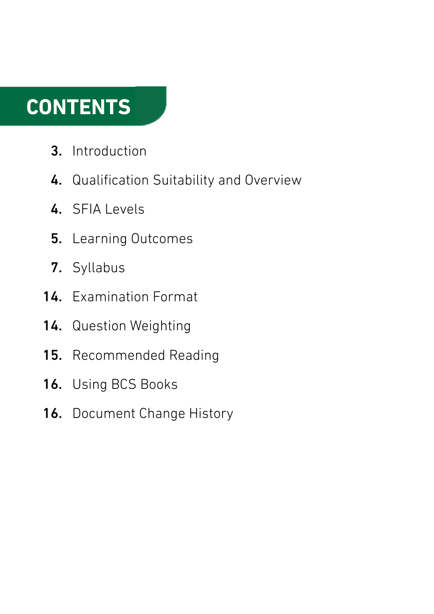### **CONTENTS**

- Introduction 3.
- 4. Qualification Suitability and Overview
- 4. SFIA Levels
- Learning Outcomes 5.
- 7. Syllabus
- 14. Examination Format
- Question Weighting 14.
- Recommended Reading 15.
- Using BCS Books 16.
- 16. Document Change History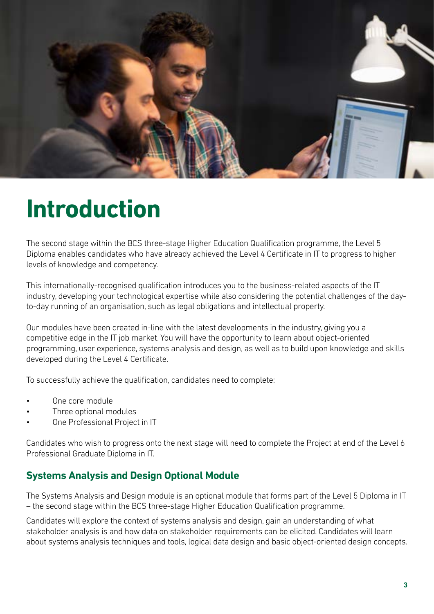

### **Introduction**

The second stage within the BCS three-stage Higher Education Qualification programme, the Level 5 Diploma enables candidates who have already achieved the Level 4 Certificate in IT to progress to higher levels of knowledge and competency.

This internationally-recognised qualification introduces you to the business-related aspects of the IT industry, developing your technological expertise while also considering the potential challenges of the dayto-day running of an organisation, such as legal obligations and intellectual property.

Our modules have been created in-line with the latest developments in the industry, giving you a competitive edge in the IT job market. You will have the opportunity to learn about object-oriented programming, user experience, systems analysis and design, as well as to build upon knowledge and skills developed during the Level 4 Certificate.

To successfully achieve the qualification, candidates need to complete:

- One core module
- Three optional modules
- One Professional Project in IT

Candidates who wish to progress onto the next stage will need to complete the Project at end of the Level 6 Professional Graduate Diploma in IT.

#### **Systems Analysis and Design Optional Module**

The Systems Analysis and Design module is an optional module that forms part of the Level 5 Diploma in IT – the second stage within the BCS three-stage Higher Education Qualification programme.

Candidates will explore the context of systems analysis and design, gain an understanding of what stakeholder analysis is and how data on stakeholder requirements can be elicited. Candidates will learn about systems analysis techniques and tools, logical data design and basic object-oriented design concepts.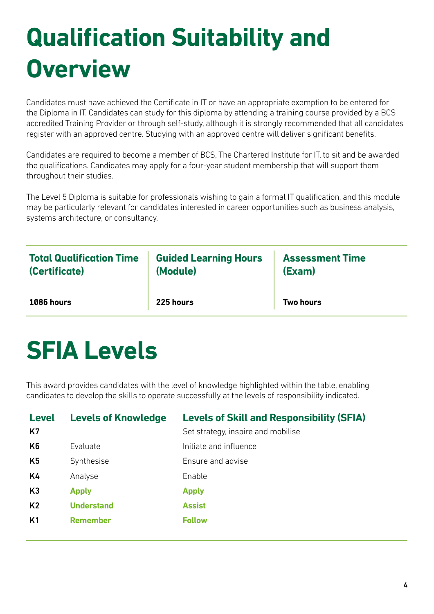# **Qualification Suitability and Overview**

Candidates must have achieved the Certificate in IT or have an appropriate exemption to be entered for the Diploma in IT. Candidates can study for this diploma by attending a training course provided by a BCS accredited Training Provider or through self-study, although it is strongly recommended that all candidates register with an approved centre. Studying with an approved centre will deliver significant benefits.

Candidates are required to become a member of BCS, The Chartered Institute for IT, to sit and be awarded the qualifications. Candidates may apply for a four-year student membership that will support them throughout their studies.

The Level 5 Diploma is suitable for professionals wishing to gain a formal IT qualification, and this module may be particularly relevant for candidates interested in career opportunities such as business analysis, systems architecture, or consultancy.

| <b>Total Qualification Time</b> | <b>Guided Learning Hours</b> | <b>Assessment Time</b> |
|---------------------------------|------------------------------|------------------------|
| (Certificate)                   | (Module)                     | (Exam)                 |
| 1086 hours                      | 225 hours                    | <b>Two hours</b>       |

### **SFIA Levels**

This award provides candidates with the level of knowledge highlighted within the table, enabling candidates to develop the skills to operate successfully at the levels of responsibility indicated.

| <b>Level</b><br>K7 | <b>Levels of Knowledge</b> | <b>Levels of Skill and Responsibility (SFIA)</b><br>Set strategy, inspire and mobilise |
|--------------------|----------------------------|----------------------------------------------------------------------------------------|
| K <sub>6</sub>     | Evaluate                   | Initiate and influence                                                                 |
| K <sub>5</sub>     | Synthesise                 | Ensure and advise                                                                      |
| K4                 | Analyse                    | Enable                                                                                 |
| K <sub>3</sub>     | <b>Apply</b>               | <b>Apply</b>                                                                           |
| K <sub>2</sub>     | <b>Understand</b>          | <b>Assist</b>                                                                          |
| K1                 | <b>Remember</b>            | <b>Follow</b>                                                                          |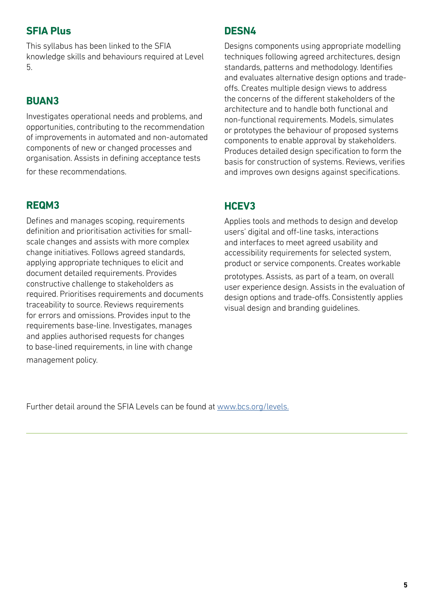#### **SFIA Plus**

This syllabus has been linked to the SFIA knowledge skills and behaviours required at Level 5.

#### **BUAN3**

Investigates operational needs and problems, and opportunities, contributing to the recommendation of improvements in automated and non-automated components of new or changed processes and organisation. Assists in defining acceptance tests for these recommendations.

#### **REQM3**

Defines and manages scoping, requirements definition and prioritisation activities for smallscale changes and assists with more complex change initiatives. Follows agreed standards, applying appropriate techniques to elicit and document detailed requirements. Provides constructive challenge to stakeholders as required. Prioritises requirements and documents traceability to source. Reviews requirements for errors and omissions. Provides input to the requirements base-line. Investigates, manages and applies authorised requests for changes to base-lined requirements, in line with change management policy.

#### **DESN4**

Designs components using appropriate modelling techniques following agreed architectures, design standards, patterns and methodology. Identifies and evaluates alternative design options and tradeoffs. Creates multiple design views to address the concerns of the different stakeholders of the architecture and to handle both functional and non-functional requirements. Models, simulates or prototypes the behaviour of proposed systems components to enable approval by stakeholders. Produces detailed design specification to form the basis for construction of systems. Reviews, verifies and improves own designs against specifications.

#### **HCEV3**

Applies tools and methods to design and develop users' digital and off-line tasks, interactions and interfaces to meet agreed usability and accessibility requirements for selected system, product or service components. Creates workable

prototypes. Assists, as part of a team, on overall user experience design. Assists in the evaluation of design options and trade-offs. Consistently applies visual design and branding guidelines.

Further detail around the SFIA Levels can be found at [www.bcs.org/levels.](https://www.bcs.org/media/5165/sfia-levels-knowledge.pdf)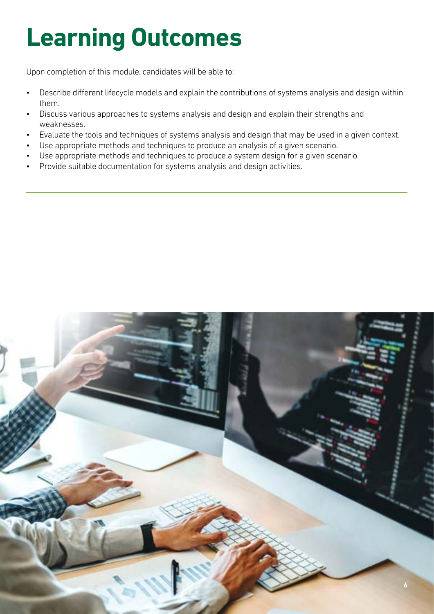# **Learning Outcomes**

Upon completion of this module, candidates will be able to:

- Describe different lifecycle models and explain the contributions of systems analysis and design within them.
- Discuss various approaches to systems analysis and design and explain their strengths and weaknesses.
- Evaluate the tools and techniques of systems analysis and design that may be used in a given context.
- Use appropriate methods and techniques to produce an analysis of a given scenario.
- Use appropriate methods and techniques to produce a system design for a given scenario.
- Provide suitable documentation for systems analysis and design activities.

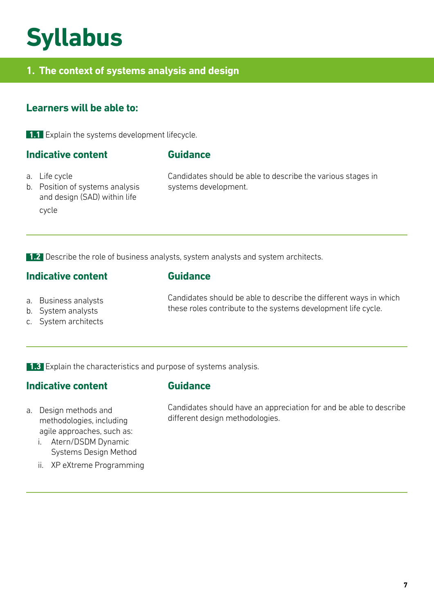### **Syllabus**

#### **1. The context of systems analysis and design**

#### **Learners will be able to:**

**1.1** Explain the systems development lifecycle.

#### **Indicative content**

#### **Guidance**

- a. Life cycle
- b. Position of systems analysis and design (SAD) within life cycle

Candidates should be able to describe the various stages in systems development.

1.2 Describe the role of business analysts, system analysts and system architects.

#### **Indicative content**

#### **Guidance**

- a. Business analysts
- b. System analysts
- c. System architects

Candidates should be able to describe the different ways in which these roles contribute to the systems development life cycle.

**1.3** Explain the characteristics and purpose of systems analysis.

#### **Indicative content**

#### **Guidance**

- a. Design methods and methodologies, including agile approaches, such as:
	- i. Atern/DSDM Dynamic Systems Design Method
	- ii. XP eXtreme Programming

Candidates should have an appreciation for and be able to describe different design methodologies.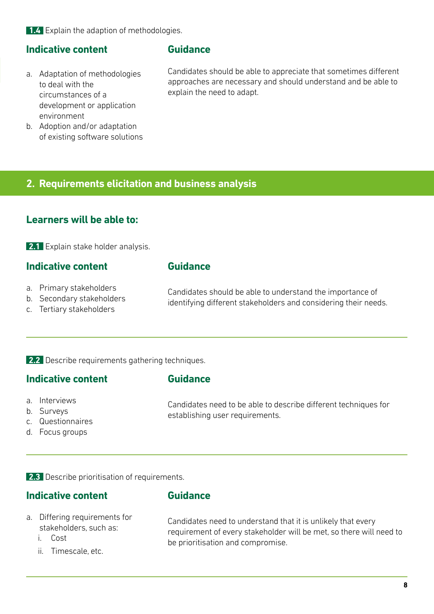**1.4** Explain the adaption of methodologies.

#### **Indicative content**

- a. Adaptation of methodologies to deal with the circumstances of a development or application environment
- b. Adoption and/or adaptation of existing software solutions

#### **Guidance**

Candidates should be able to appreciate that sometimes different approaches are necessary and should understand and be able to explain the need to adapt.

#### **2. Requirements elicitation and business analysis**

#### **Learners will be able to:**

**2.1** Explain stake holder analysis.

#### **Indicative content**

#### **Guidance**

- a. Primary stakeholders
- b. Secondary stakeholders
- c. Tertiary stakeholders

Candidates should be able to understand the importance of identifying different stakeholders and considering their needs.

#### **2.2** Describe requirements gathering techniques.

#### **Indicative content**

#### **Guidance**

- a. Interviews
- b. Surveys
- c. Questionnaires
- d. Focus groups

Candidates need to be able to describe different techniques for establishing user requirements.

**2.3** Describe prioritisation of requirements.

#### **Indicative content**

#### **Guidance**

- a. Differing requirements for stakeholders, such as:
	- i. Cost
	- ii. Timescale, etc.

Candidates need to understand that it is unlikely that every requirement of every stakeholder will be met, so there will need to be prioritisation and compromise.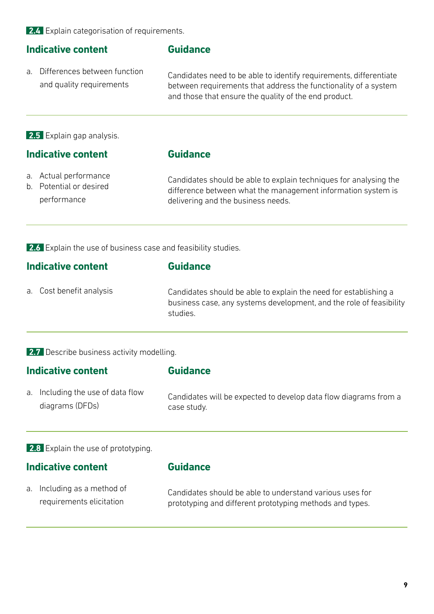**2.4** Explain categorisation of requirements.

#### **Indicative content**

a. Differences between function and quality requirements

#### **Guidance**

Candidates need to be able to identify requirements, differentiate between requirements that address the functionality of a system and those that ensure the quality of the end product.

**2.5** Explain gap analysis.

#### **Indicative content**

#### **Guidance**

- a. Actual performance
- b. Potential or desired performance

Candidates should be able to explain techniques for analysing the difference between what the management information system is delivering and the business needs.

**2.6** Explain the use of business case and feasibility studies.

#### **Indicative content**

**Guidance**

a. Cost benefit analysis

Candidates should be able to explain the need for establishing a business case, any systems development, and the role of feasibility studies.

#### **2.7** Describe business activity modelling.

| <b>Indicative content</b> |                                   | <b>Guidance</b>                                                  |  |
|---------------------------|-----------------------------------|------------------------------------------------------------------|--|
|                           | a. Including the use of data flow | Candidates will be expected to develop data flow diagrams from a |  |
|                           | diagrams (DFDs)                   | case study.                                                      |  |

**2.8** Explain the use of prototyping.

#### **Indicative content**

#### **Guidance**

a. Including as a method of requirements elicitation

Candidates should be able to understand various uses for prototyping and different prototyping methods and types.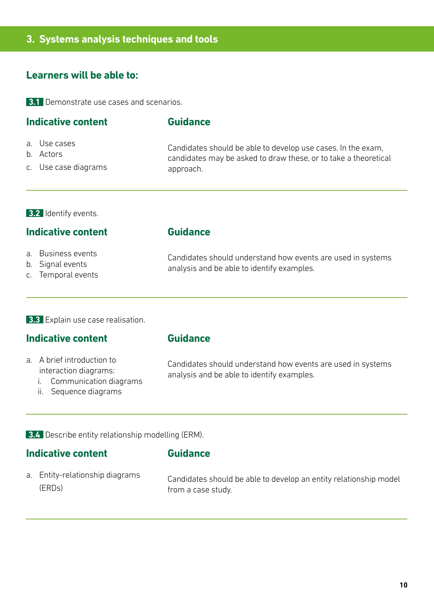#### **3. Systems analysis techniques and tools**

#### **Learners will be able to:**

**3.1** Demonstrate use cases and scenarios.

#### **Indicative content**

- a. Use cases
- b. Actors
- c. Use case diagrams

Candidates should be able to develop use cases. In the exam, candidates may be asked to draw these, or to take a theoretical

**3.2** Identify events.

#### **Indicative content**

- a. Business events
- b. Signal events
- c. Temporal events

#### **Guidance**

**Guidance**

approach.

Candidates should understand how events are used in systems analysis and be able to identify examples.

**3.3** Explain use case realisation.

#### **Indicative content**

- a. A brief introduction to interaction diagrams:
	- i. Communication diagrams
	- ii. Sequence diagrams

**Guidance**

Candidates should understand how events are used in systems analysis and be able to identify examples.

**3.4** Describe entity relationship modelling (ERM).

#### **Indicative content**

#### **Guidance**

a. Entity-relationship diagrams (ERDs)

Candidates should be able to develop an entity relationship model from a case study.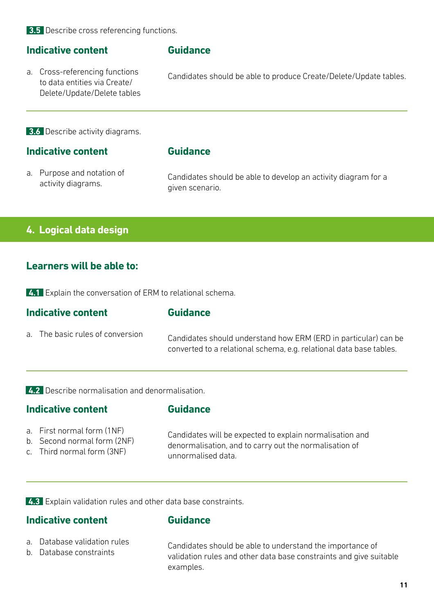**3.5** Describe cross referencing functions.

#### **Indicative content**

a. Cross-referencing functions to data entities via Create/ Delete/Update/Delete tables

#### **Guidance**

Candidates should be able to produce Create/Delete/Update tables.

**3.6** Describe activity diagrams.

#### **Indicative content**

#### **Guidance**

a. Purpose and notation of activity diagrams.

Candidates should be able to develop an activity diagram for a given scenario.

#### **4. Logical data design**

#### **Learners will be able to:**

**4.1** Explain the conversation of ERM to relational schema.

| Indicative content               | <b>Guidance</b>                                                                                                                        |  |
|----------------------------------|----------------------------------------------------------------------------------------------------------------------------------------|--|
| a. The basic rules of conversion | Candidates should understand how ERM (ERD in particular) can be<br>converted to a relational schema, e.g. relational data base tables. |  |

**4.2** Describe normalisation and denormalisation.

#### **Indicative content**

#### **Guidance**

- a. First normal form (1NF)
- b. Second normal form (2NF)
- c. Third normal form (3NF)

Candidates will be expected to explain normalisation and denormalisation, and to carry out the normalisation of unnormalised data.

**4.3** Explain validation rules and other data base constraints.

#### **Indicative content**

#### **Guidance**

- a. Database validation rules
- b. Database constraints

Candidates should be able to understand the importance of validation rules and other data base constraints and give suitable examples.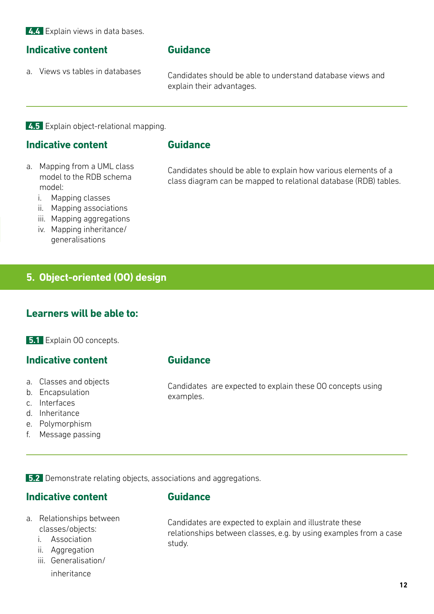**4.4** Explain views in data bases.

#### **Indicative content**

a. Views vs tables in databases

#### **Guidance**

Candidates should be able to understand database views and explain their advantages.

**4.5** Explain object-relational mapping.

#### **Indicative content**

#### **Guidance**

a. Mapping from a UML class model to the RDB schema model:

Candidates should be able to explain how various elements of a class diagram can be mapped to relational database (RDB) tables.

- i. Mapping classes
- ii. Mapping associations
- iii. Mapping aggregations
- iv. Mapping inheritance/ generalisations

#### **5. Object-oriented (OO) design**

#### **Learners will be able to:**

**5.1** Explain 00 concepts.

#### **Indicative content**

- a. Classes and objects
- b. Encapsulation
- c. Interfaces
- d. Inheritance
- e. Polymorphism
- f. Message passing

#### **Guidance**

Candidates are expected to explain these OO concepts using examples.

**5.2** Demonstrate relating objects, associations and aggregations.

#### **Indicative content**

#### **Guidance**

- a. Relationships between classes/objects:
	- i. Association
	- ii. Aggregation
	- iii. Generalisation/
		- inheritance

Candidates are expected to explain and illustrate these relationships between classes, e.g. by using examples from a case study.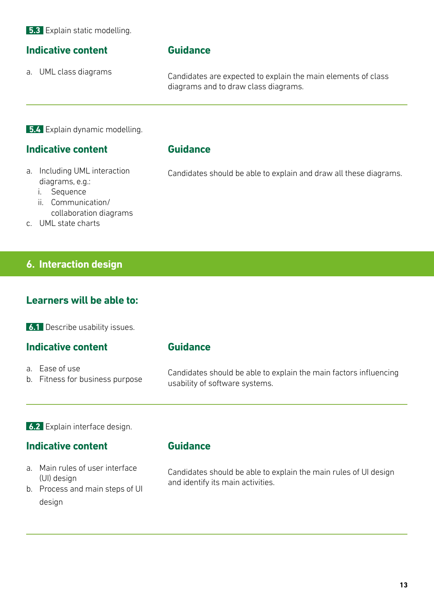**5.3** Explain static modelling.

#### **Indicative content**

a. UML class diagrams

#### **Guidance**

Candidates are expected to explain the main elements of class diagrams and to draw class diagrams.

**5.4** Explain dynamic modelling.

#### **Indicative content**

- a. Including UML interaction diagrams, e.g.:
	- i. Sequence
	- ii. Communication/ collaboration diagrams
- c. UML state charts

#### **6. Interaction design**

#### **Learners will be able to:**

**6.1** Describe usability issues.

#### **Indicative content**

#### **Guidance**

a. Ease of use b. Fitness for business purpose Candidates should be able to explain the main factors influencing usability of software systems.

**6.2** Explain interface design.

#### **Indicative content**

- **Guidance**
- a. Main rules of user interface (UI) design
- b. Process and main steps of UI design

Candidates should be able to explain the main rules of UI design and identify its main activities.

**13**

#### **Guidance**

Candidates should be able to explain and draw all these diagrams.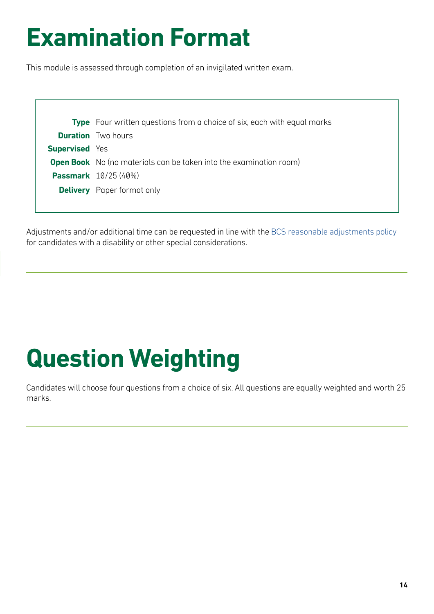### **Examination Format**

This module is assessed through completion of an invigilated written exam.

|                       | <b>Type</b> Four written questions from a choice of six, each with equal marks |
|-----------------------|--------------------------------------------------------------------------------|
|                       | <b>Duration</b> Two hours                                                      |
| <b>Supervised</b> Yes |                                                                                |
|                       | <b>Open Book</b> No (no materials can be taken into the examination room)      |
|                       | <b>Passmark</b> 10/25 (40%)                                                    |
|                       | <b>Delivery</b> Paper format only                                              |
|                       |                                                                                |

Adjustments and/or additional time can be requested in line with the BCS reasonable adjustments policy for candidates with a disability or other special considerations.

# **Question Weighting**

Candidates will choose four questions from a choice of six. All questions are equally weighted and worth 25 marks.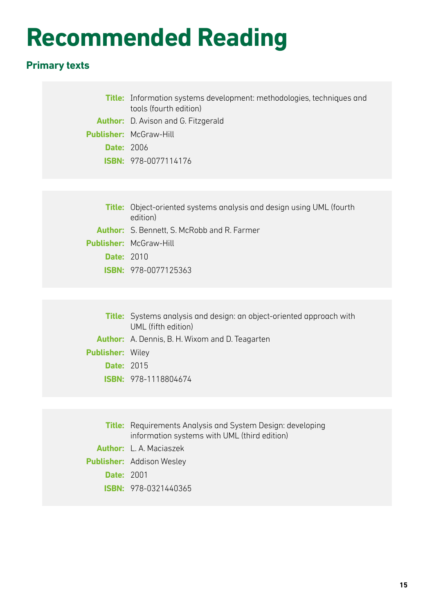### **Recommended Reading**

#### **Primary texts**

|                   | <b>Title:</b> Information systems development: methodologies, techniques and<br>tools (fourth edition) |
|-------------------|--------------------------------------------------------------------------------------------------------|
|                   | <b>Author:</b> D. Avison and G. Fitzgerald                                                             |
|                   | <b>Publisher: McGraw-Hill</b>                                                                          |
| <b>Date: 2006</b> |                                                                                                        |
|                   | <b>ISBN: 978-0077114176</b>                                                                            |
|                   |                                                                                                        |
|                   |                                                                                                        |
|                   | <b>Title:</b> Object-oriented systems analysis and design using UML (fourth<br>edition)                |

- **Author:** S. Bennett, S. McRobb and R. Farmer
- **Publisher:** McGraw-Hill
	- **Date:** 2010
	- **ISBN:** 978-0077125363
- **Title:** Systems analysis and design: an object-oriented approach with UML (fifth edition) **Author:** A. Dennis, B. H. Wixom and D. Teagarten **Publisher:** Wiley **Date:** 2015 **ISBN:** 978-1118804674

|                   | <b>Title:</b> Requirements Analysis and System Design: developing<br>information systems with UML (third edition) |
|-------------------|-------------------------------------------------------------------------------------------------------------------|
|                   | <b>Author:</b> L. A. Maciaszek                                                                                    |
|                   | <b>Publisher:</b> Addison Wesley                                                                                  |
| <b>Date: 2001</b> |                                                                                                                   |
|                   | $ISBN: 978-0321440365$                                                                                            |
|                   |                                                                                                                   |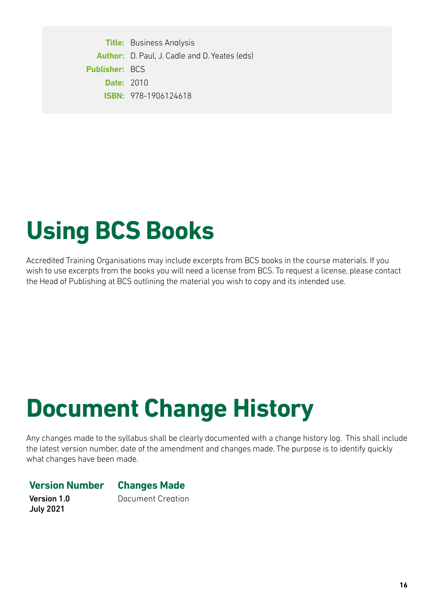**Title:** Business Analysis **Author:** D. Paul, J. Cadle and D. Yeates (eds) **Publisher:** BCS **Date:** 2010 **ISBN:** 978-1906124618

### **Using BCS Books**

Accredited Training Organisations may include excerpts from BCS books in the course materials. If you wish to use excerpts from the books you will need a license from BCS. To request a license, please contact the Head of Publishing at BCS outlining the material you wish to copy and its intended use.

# **Document Change History**

Any changes made to the syllabus shall be clearly documented with a change history log. This shall include the latest version number, date of the amendment and changes made. The purpose is to identify quickly what changes have been made.

#### **Version Number Changes Made**

Version 1.0 July 2021

Document Creation